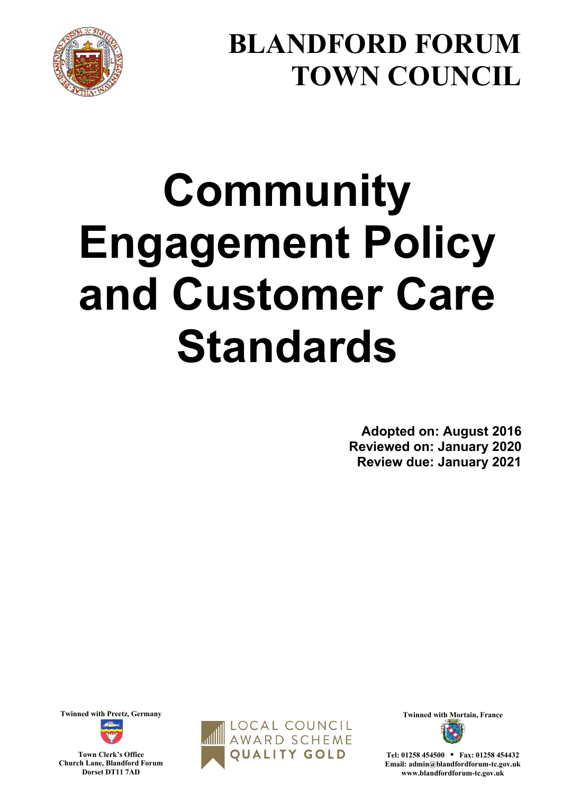

## **BLANDFORD FORUM TOWN COUNCIL**

# **Community Engagement Policy and Customer Care Standards**

**Adopted on: August 2016 Reviewed on: January 2020 Review due: January 2021**

**Town Clerk's Office Church Lane, Blandford Forum** 

**Dorset DT11 7AD** 

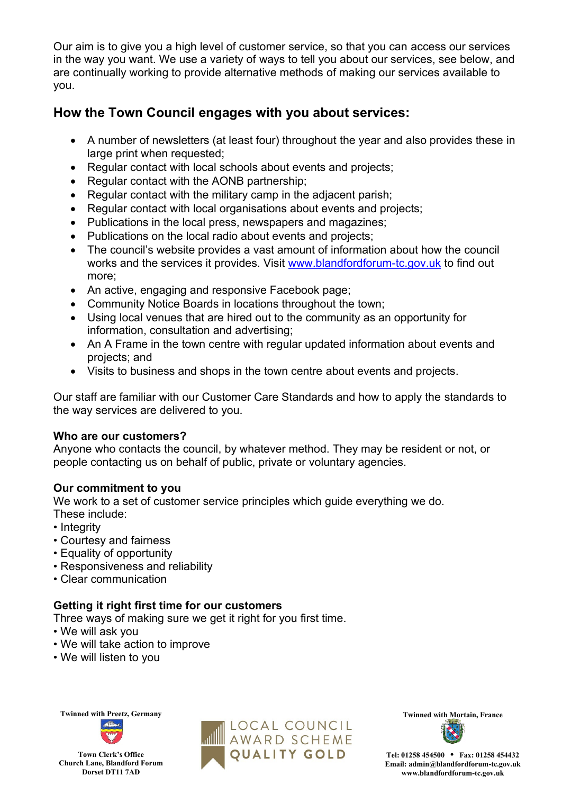Our aim is to give you a high level of customer service, so that you can access our services in the way you want. We use a variety of ways to tell you about our services, see below, and are continually working to provide alternative methods of making our services available to you.

#### **How the Town Council engages with you about services:**

- A number of newsletters (at least four) throughout the year and also provides these in large print when requested;
- Regular contact with local schools about events and projects;
- Regular contact with the AONB partnership;
- Regular contact with the military camp in the adjacent parish;
- Regular contact with local organisations about events and projects;
- Publications in the local press, newspapers and magazines;
- Publications on the local radio about events and projects;
- The council's website provides a vast amount of information about how the council works and the services it provides. Visit [www.blandfordforum-tc.gov.uk](http://www.blandfordforum-tc.gov.uk/) to find out more;
- An active, engaging and responsive Facebook page;
- Community Notice Boards in locations throughout the town;
- Using local venues that are hired out to the community as an opportunity for information, consultation and advertising;
- An A Frame in the town centre with regular updated information about events and projects; and
- Visits to business and shops in the town centre about events and projects.

Our staff are familiar with our Customer Care Standards and how to apply the standards to the way services are delivered to you.

#### **Who are our customers?**

Anyone who contacts the council, by whatever method. They may be resident or not, or people contacting us on behalf of public, private or voluntary agencies.

#### **Our commitment to you**

We work to a set of customer service principles which guide everything we do.

- These include:
- Integrity
- Courtesy and fairness
- Equality of opportunity
- Responsiveness and reliability
- Clear communication

#### **Getting it right first time for our customers**

Three ways of making sure we get it right for you first time.

- We will ask you
- We will take action to improve
- We will listen to you



**Town Clerk's Office Church Lane, Blandford Forum Dorset DT11 7AD** 

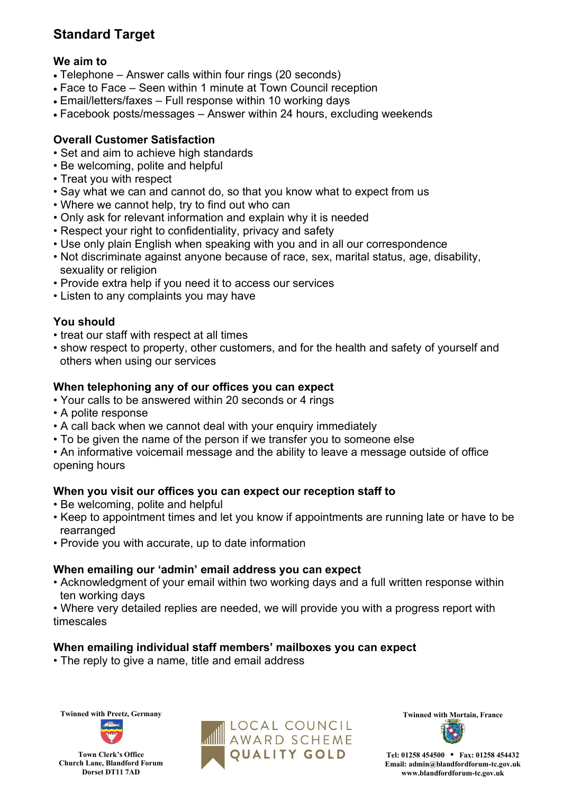### **Standard Target**

#### **We aim to**

- Telephone Answer calls within four rings (20 seconds)
- Face to Face Seen within 1 minute at Town Council reception
- Email/letters/faxes Full response within 10 working days
- Facebook posts/messages Answer within 24 hours, excluding weekends

#### **Overall Customer Satisfaction**

- Set and aim to achieve high standards
- Be welcoming, polite and helpful
- Treat you with respect
- Say what we can and cannot do, so that you know what to expect from us
- Where we cannot help, try to find out who can
- Only ask for relevant information and explain why it is needed
- Respect your right to confidentiality, privacy and safety
- Use only plain English when speaking with you and in all our correspondence
- Not discriminate against anyone because of race, sex, marital status, age, disability, sexuality or religion
- Provide extra help if you need it to access our services
- Listen to any complaints you may have

#### **You should**

- treat our staff with respect at all times
- show respect to property, other customers, and for the health and safety of yourself and others when using our services

#### **When telephoning any of our offices you can expect**

- Your calls to be answered within 20 seconds or 4 rings
- A polite response
- A call back when we cannot deal with your enquiry immediately
- To be given the name of the person if we transfer you to someone else

• An informative voicemail message and the ability to leave a message outside of office opening hours

#### **When you visit our offices you can expect our reception staff to**

- Be welcoming, polite and helpful
- Keep to appointment times and let you know if appointments are running late or have to be rearranged
- Provide you with accurate, up to date information

#### **When emailing our 'admin' email address you can expect**

- Acknowledgment of your email within two working days and a full written response within ten working days
- Where very detailed replies are needed, we will provide you with a progress report with timescales

#### **When emailing individual staff members' mailboxes you can expect**

• The reply to give a name, title and email address